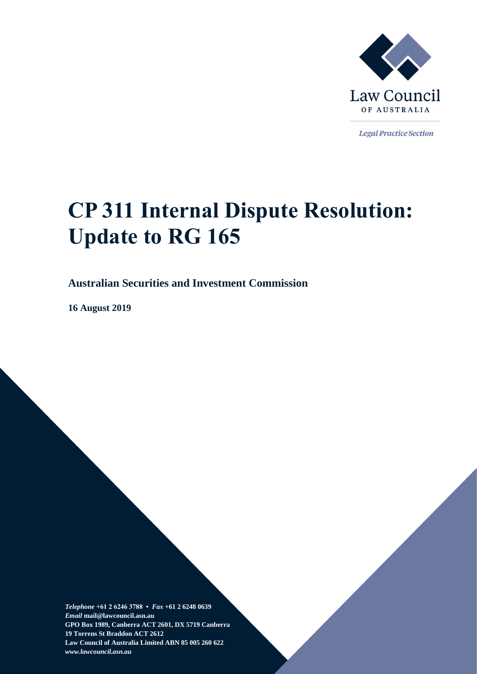

**Legal Practice Section** 

# **CP 311 Internal Dispute Resolution: Update to RG 165**

#### **Australian Securities and Investment Commission**

**16 August 2019**

*Telephone* **+61 2 6246 3788 •** *Fax* **+61 2 6248 0639**  *Email* **mail@lawcouncil.asn.au GPO Box 1989, Canberra ACT 2601, DX 5719 Canberra 19 Torrens St Braddon ACT 2612 Law Council of Australia Limited ABN 85 005 260 622** *www.lawcouncil.asn.au*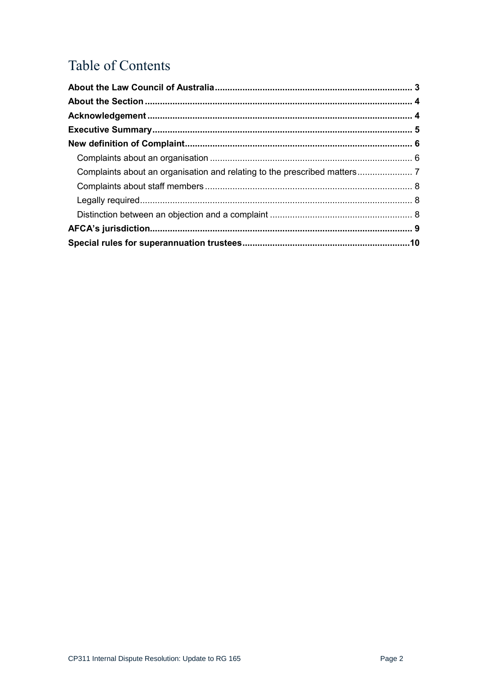# Table of Contents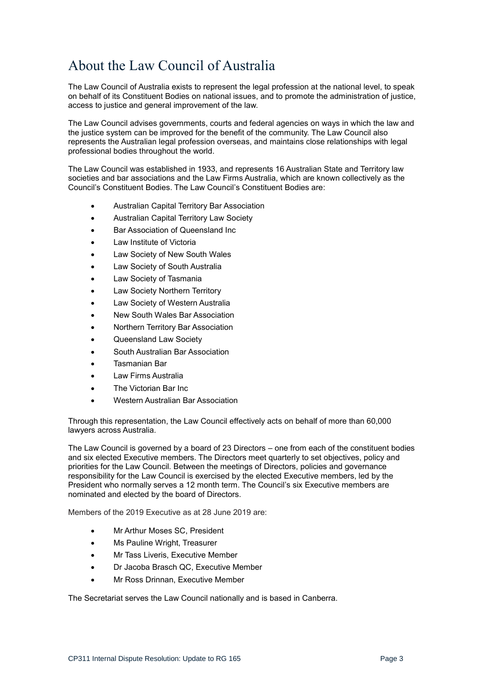# <span id="page-2-0"></span>About the Law Council of Australia

The Law Council of Australia exists to represent the legal profession at the national level, to speak on behalf of its Constituent Bodies on national issues, and to promote the administration of justice, access to justice and general improvement of the law.

The Law Council advises governments, courts and federal agencies on ways in which the law and the justice system can be improved for the benefit of the community. The Law Council also represents the Australian legal profession overseas, and maintains close relationships with legal professional bodies throughout the world.

The Law Council was established in 1933, and represents 16 Australian State and Territory law societies and bar associations and the Law Firms Australia, which are known collectively as the Council's Constituent Bodies. The Law Council's Constituent Bodies are:

- Australian Capital Territory Bar Association
- Australian Capital Territory Law Society
- Bar Association of Queensland Inc
- Law Institute of Victoria
- Law Society of New South Wales
- Law Society of South Australia
- Law Society of Tasmania
- Law Society Northern Territory
- Law Society of Western Australia
- New South Wales Bar Association
- Northern Territory Bar Association
- Queensland Law Society
- South Australian Bar Association
- Tasmanian Bar
- Law Firms Australia
- The Victorian Bar Inc
- Western Australian Bar Association

Through this representation, the Law Council effectively acts on behalf of more than 60,000 lawyers across Australia.

The Law Council is governed by a board of 23 Directors – one from each of the constituent bodies and six elected Executive members. The Directors meet quarterly to set objectives, policy and priorities for the Law Council. Between the meetings of Directors, policies and governance responsibility for the Law Council is exercised by the elected Executive members, led by the President who normally serves a 12 month term. The Council's six Executive members are nominated and elected by the board of Directors.

Members of the 2019 Executive as at 28 June 2019 are:

- Mr Arthur Moses SC, President
- Ms Pauline Wright, Treasurer
- Mr Tass Liveris, Executive Member
- Dr Jacoba Brasch QC, Executive Member
- Mr Ross Drinnan, Executive Member

The Secretariat serves the Law Council nationally and is based in Canberra.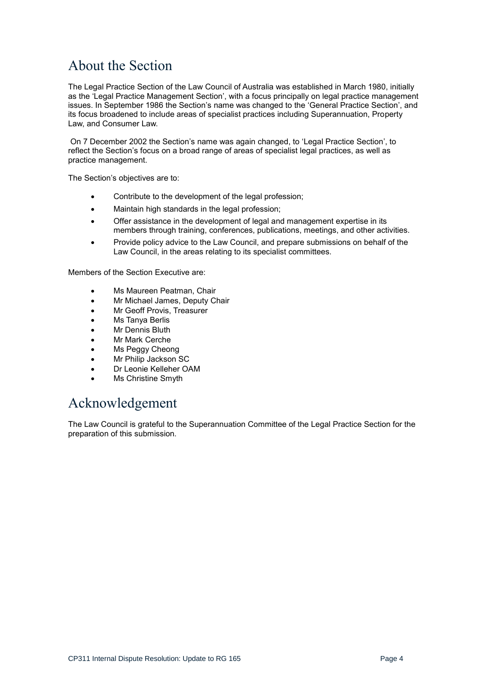# <span id="page-3-0"></span>About the Section

The Legal Practice Section of the Law Council of Australia was established in March 1980, initially as the 'Legal Practice Management Section', with a focus principally on legal practice management issues. In September 1986 the Section's name was changed to the 'General Practice Section', and its focus broadened to include areas of specialist practices including Superannuation, Property Law, and Consumer Law.

On 7 December 2002 the Section's name was again changed, to 'Legal Practice Section', to reflect the Section's focus on a broad range of areas of specialist legal practices, as well as practice management.

The Section's objectives are to:

- Contribute to the development of the legal profession;
- Maintain high standards in the legal profession;
- Offer assistance in the development of legal and management expertise in its members through training, conferences, publications, meetings, and other activities.
- Provide policy advice to the Law Council, and prepare submissions on behalf of the Law Council, in the areas relating to its specialist committees.

Members of the Section Executive are:

- Ms Maureen Peatman, Chair
- Mr Michael James, Deputy Chair
- Mr Geoff Provis, Treasurer
- Ms Tanya Berlis
- **Mr Dennis Bluth**
- Mr Mark Cerche
- Ms Peggy Cheong
- Mr Philip Jackson SC
- Dr Leonie Kelleher OAM
- Ms Christine Smyth

## <span id="page-3-1"></span>Acknowledgement

The Law Council is grateful to the Superannuation Committee of the Legal Practice Section for the preparation of this submission.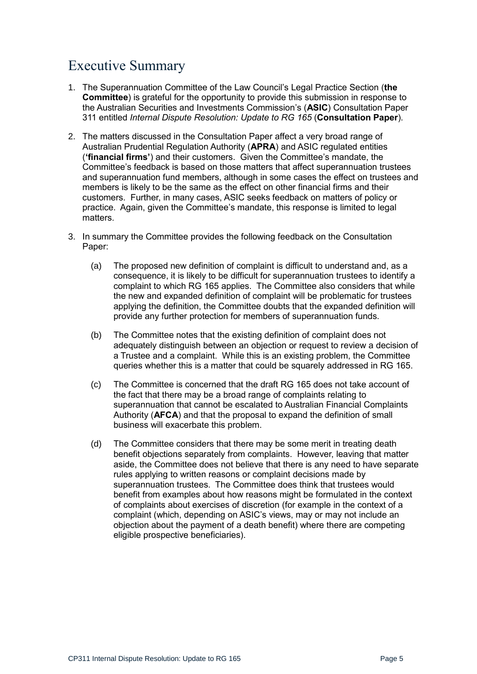# <span id="page-4-0"></span>Executive Summary

- 1. The Superannuation Committee of the Law Council's Legal Practice Section (**the Committee**) is grateful for the opportunity to provide this submission in response to the Australian Securities and Investments Commission's (**ASIC**) Consultation Paper 311 entitled *Internal Dispute Resolution: Update to RG 165* (**Consultation Paper**).
- 2. The matters discussed in the Consultation Paper affect a very broad range of Australian Prudential Regulation Authority (**APRA**) and ASIC regulated entities (**'financial firms'**) and their customers. Given the Committee's mandate, the Committee's feedback is based on those matters that affect superannuation trustees and superannuation fund members, although in some cases the effect on trustees and members is likely to be the same as the effect on other financial firms and their customers. Further, in many cases, ASIC seeks feedback on matters of policy or practice. Again, given the Committee's mandate, this response is limited to legal matters.
- 3. In summary the Committee provides the following feedback on the Consultation Paper:
	- (a) The proposed new definition of complaint is difficult to understand and, as a consequence, it is likely to be difficult for superannuation trustees to identify a complaint to which RG 165 applies. The Committee also considers that while the new and expanded definition of complaint will be problematic for trustees applying the definition, the Committee doubts that the expanded definition will provide any further protection for members of superannuation funds.
	- (b) The Committee notes that the existing definition of complaint does not adequately distinguish between an objection or request to review a decision of a Trustee and a complaint. While this is an existing problem, the Committee queries whether this is a matter that could be squarely addressed in RG 165.
	- (c) The Committee is concerned that the draft RG 165 does not take account of the fact that there may be a broad range of complaints relating to superannuation that cannot be escalated to Australian Financial Complaints Authority (**AFCA**) and that the proposal to expand the definition of small business will exacerbate this problem.
	- (d) The Committee considers that there may be some merit in treating death benefit objections separately from complaints. However, leaving that matter aside, the Committee does not believe that there is any need to have separate rules applying to written reasons or complaint decisions made by superannuation trustees. The Committee does think that trustees would benefit from examples about how reasons might be formulated in the context of complaints about exercises of discretion (for example in the context of a complaint (which, depending on ASIC's views, may or may not include an objection about the payment of a death benefit) where there are competing eligible prospective beneficiaries).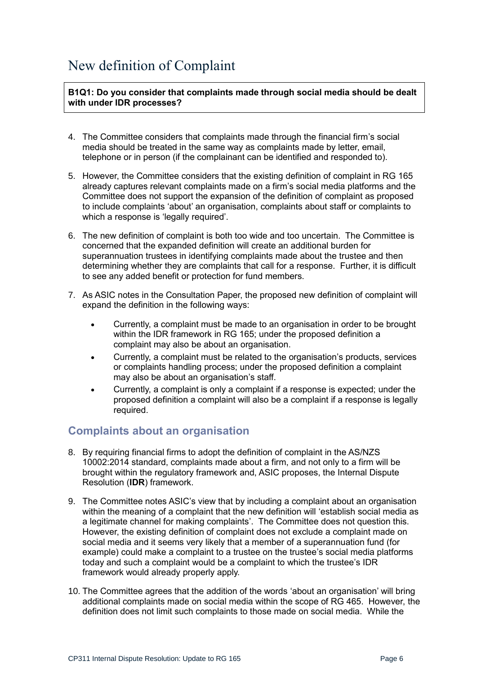# <span id="page-5-0"></span>New definition of Complaint

**B1Q1: Do you consider that complaints made through social media should be dealt with under IDR processes?**

- 4. The Committee considers that complaints made through the financial firm's social media should be treated in the same way as complaints made by letter, email, telephone or in person (if the complainant can be identified and responded to).
- 5. However, the Committee considers that the existing definition of complaint in RG 165 already captures relevant complaints made on a firm's social media platforms and the Committee does not support the expansion of the definition of complaint as proposed to include complaints 'about' an organisation, complaints about staff or complaints to which a response is 'legally required'.
- 6. The new definition of complaint is both too wide and too uncertain. The Committee is concerned that the expanded definition will create an additional burden for superannuation trustees in identifying complaints made about the trustee and then determining whether they are complaints that call for a response. Further, it is difficult to see any added benefit or protection for fund members.
- 7. As ASIC notes in the Consultation Paper, the proposed new definition of complaint will expand the definition in the following ways:
	- Currently, a complaint must be made to an organisation in order to be brought within the IDR framework in RG 165; under the proposed definition a complaint may also be about an organisation.
	- Currently, a complaint must be related to the organisation's products, services or complaints handling process; under the proposed definition a complaint may also be about an organisation's staff.
	- Currently, a complaint is only a complaint if a response is expected; under the proposed definition a complaint will also be a complaint if a response is legally required.

#### <span id="page-5-1"></span>**Complaints about an organisation**

- 8. By requiring financial firms to adopt the definition of complaint in the AS/NZS 10002:2014 standard, complaints made about a firm, and not only to a firm will be brought within the regulatory framework and, ASIC proposes, the Internal Dispute Resolution (**IDR**) framework.
- 9. The Committee notes ASIC's view that by including a complaint about an organisation within the meaning of a complaint that the new definition will 'establish social media as a legitimate channel for making complaints'. The Committee does not question this. However, the existing definition of complaint does not exclude a complaint made on social media and it seems very likely that a member of a superannuation fund (for example) could make a complaint to a trustee on the trustee's social media platforms today and such a complaint would be a complaint to which the trustee's IDR framework would already properly apply.
- 10. The Committee agrees that the addition of the words 'about an organisation' will bring additional complaints made on social media within the scope of RG 465. However, the definition does not limit such complaints to those made on social media. While the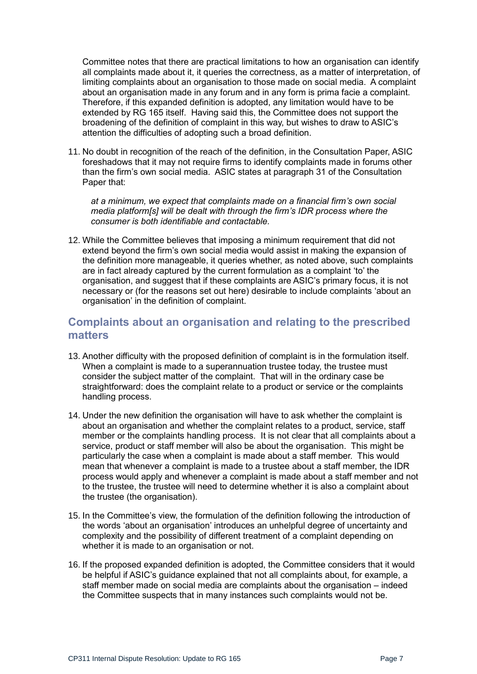Committee notes that there are practical limitations to how an organisation can identify all complaints made about it, it queries the correctness, as a matter of interpretation, of limiting complaints about an organisation to those made on social media. A complaint about an organisation made in any forum and in any form is prima facie a complaint. Therefore, if this expanded definition is adopted, any limitation would have to be extended by RG 165 itself. Having said this, the Committee does not support the broadening of the definition of complaint in this way, but wishes to draw to ASIC's attention the difficulties of adopting such a broad definition.

11. No doubt in recognition of the reach of the definition, in the Consultation Paper, ASIC foreshadows that it may not require firms to identify complaints made in forums other than the firm's own social media. ASIC states at paragraph 31 of the Consultation Paper that:

*at a minimum, we expect that complaints made on a financial firm's own social media platform[s] will be dealt with through the firm's IDR process where the consumer is both identifiable and contactable.*

12. While the Committee believes that imposing a minimum requirement that did not extend beyond the firm's own social media would assist in making the expansion of the definition more manageable, it queries whether, as noted above, such complaints are in fact already captured by the current formulation as a complaint 'to' the organisation, and suggest that if these complaints are ASIC's primary focus, it is not necessary or (for the reasons set out here) desirable to include complaints 'about an organisation' in the definition of complaint.

#### <span id="page-6-0"></span>**Complaints about an organisation and relating to the prescribed matters**

- 13. Another difficulty with the proposed definition of complaint is in the formulation itself. When a complaint is made to a superannuation trustee today, the trustee must consider the subject matter of the complaint. That will in the ordinary case be straightforward: does the complaint relate to a product or service or the complaints handling process.
- 14. Under the new definition the organisation will have to ask whether the complaint is about an organisation and whether the complaint relates to a product, service, staff member or the complaints handling process. It is not clear that all complaints about a service, product or staff member will also be about the organisation. This might be particularly the case when a complaint is made about a staff member. This would mean that whenever a complaint is made to a trustee about a staff member, the IDR process would apply and whenever a complaint is made about a staff member and not to the trustee, the trustee will need to determine whether it is also a complaint about the trustee (the organisation).
- 15. In the Committee's view, the formulation of the definition following the introduction of the words 'about an organisation' introduces an unhelpful degree of uncertainty and complexity and the possibility of different treatment of a complaint depending on whether it is made to an organisation or not.
- 16. If the proposed expanded definition is adopted, the Committee considers that it would be helpful if ASIC's guidance explained that not all complaints about, for example, a staff member made on social media are complaints about the organisation – indeed the Committee suspects that in many instances such complaints would not be.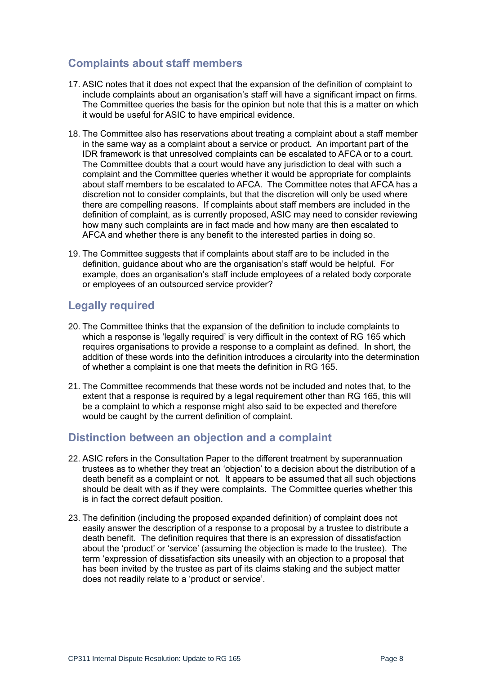#### <span id="page-7-0"></span>**Complaints about staff members**

- 17. ASIC notes that it does not expect that the expansion of the definition of complaint to include complaints about an organisation's staff will have a significant impact on firms. The Committee queries the basis for the opinion but note that this is a matter on which it would be useful for ASIC to have empirical evidence.
- 18. The Committee also has reservations about treating a complaint about a staff member in the same way as a complaint about a service or product. An important part of the IDR framework is that unresolved complaints can be escalated to AFCA or to a court. The Committee doubts that a court would have any jurisdiction to deal with such a complaint and the Committee queries whether it would be appropriate for complaints about staff members to be escalated to AFCA. The Committee notes that AFCA has a discretion not to consider complaints, but that the discretion will only be used where there are compelling reasons. If complaints about staff members are included in the definition of complaint, as is currently proposed, ASIC may need to consider reviewing how many such complaints are in fact made and how many are then escalated to AFCA and whether there is any benefit to the interested parties in doing so.
- 19. The Committee suggests that if complaints about staff are to be included in the definition, guidance about who are the organisation's staff would be helpful. For example, does an organisation's staff include employees of a related body corporate or employees of an outsourced service provider?

#### <span id="page-7-1"></span>**Legally required**

- 20. The Committee thinks that the expansion of the definition to include complaints to which a response is 'legally required' is very difficult in the context of RG 165 which requires organisations to provide a response to a complaint as defined. In short, the addition of these words into the definition introduces a circularity into the determination of whether a complaint is one that meets the definition in RG 165.
- 21. The Committee recommends that these words not be included and notes that, to the extent that a response is required by a legal requirement other than RG 165, this will be a complaint to which a response might also said to be expected and therefore would be caught by the current definition of complaint.

#### <span id="page-7-2"></span>**Distinction between an objection and a complaint**

- 22. ASIC refers in the Consultation Paper to the different treatment by superannuation trustees as to whether they treat an 'objection' to a decision about the distribution of a death benefit as a complaint or not. It appears to be assumed that all such objections should be dealt with as if they were complaints. The Committee queries whether this is in fact the correct default position.
- 23. The definition (including the proposed expanded definition) of complaint does not easily answer the description of a response to a proposal by a trustee to distribute a death benefit. The definition requires that there is an expression of dissatisfaction about the 'product' or 'service' (assuming the objection is made to the trustee). The term 'expression of dissatisfaction sits uneasily with an objection to a proposal that has been invited by the trustee as part of its claims staking and the subject matter does not readily relate to a 'product or service'.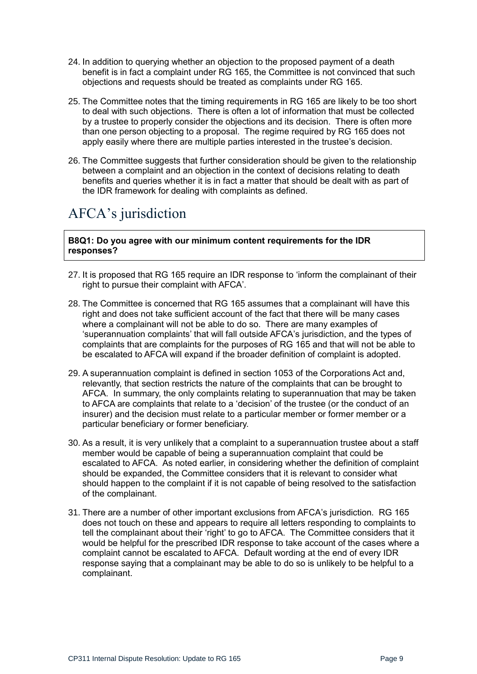- 24. In addition to querying whether an objection to the proposed payment of a death benefit is in fact a complaint under RG 165, the Committee is not convinced that such objections and requests should be treated as complaints under RG 165.
- 25. The Committee notes that the timing requirements in RG 165 are likely to be too short to deal with such objections. There is often a lot of information that must be collected by a trustee to properly consider the objections and its decision. There is often more than one person objecting to a proposal. The regime required by RG 165 does not apply easily where there are multiple parties interested in the trustee's decision.
- 26. The Committee suggests that further consideration should be given to the relationship between a complaint and an objection in the context of decisions relating to death benefits and queries whether it is in fact a matter that should be dealt with as part of the IDR framework for dealing with complaints as defined.

# <span id="page-8-0"></span>AFCA's jurisdiction

**B8Q1: Do you agree with our minimum content requirements for the IDR responses?**

- 27. It is proposed that RG 165 require an IDR response to 'inform the complainant of their right to pursue their complaint with AFCA'.
- 28. The Committee is concerned that RG 165 assumes that a complainant will have this right and does not take sufficient account of the fact that there will be many cases where a complainant will not be able to do so. There are many examples of 'superannuation complaints' that will fall outside AFCA's jurisdiction, and the types of complaints that are complaints for the purposes of RG 165 and that will not be able to be escalated to AFCA will expand if the broader definition of complaint is adopted.
- 29. A superannuation complaint is defined in section 1053 of the Corporations Act and, relevantly, that section restricts the nature of the complaints that can be brought to AFCA. In summary, the only complaints relating to superannuation that may be taken to AFCA are complaints that relate to a 'decision' of the trustee (or the conduct of an insurer) and the decision must relate to a particular member or former member or a particular beneficiary or former beneficiary.
- 30. As a result, it is very unlikely that a complaint to a superannuation trustee about a staff member would be capable of being a superannuation complaint that could be escalated to AFCA. As noted earlier, in considering whether the definition of complaint should be expanded, the Committee considers that it is relevant to consider what should happen to the complaint if it is not capable of being resolved to the satisfaction of the complainant.
- 31. There are a number of other important exclusions from AFCA's jurisdiction. RG 165 does not touch on these and appears to require all letters responding to complaints to tell the complainant about their 'right' to go to AFCA. The Committee considers that it would be helpful for the prescribed IDR response to take account of the cases where a complaint cannot be escalated to AFCA. Default wording at the end of every IDR response saying that a complainant may be able to do so is unlikely to be helpful to a complainant.